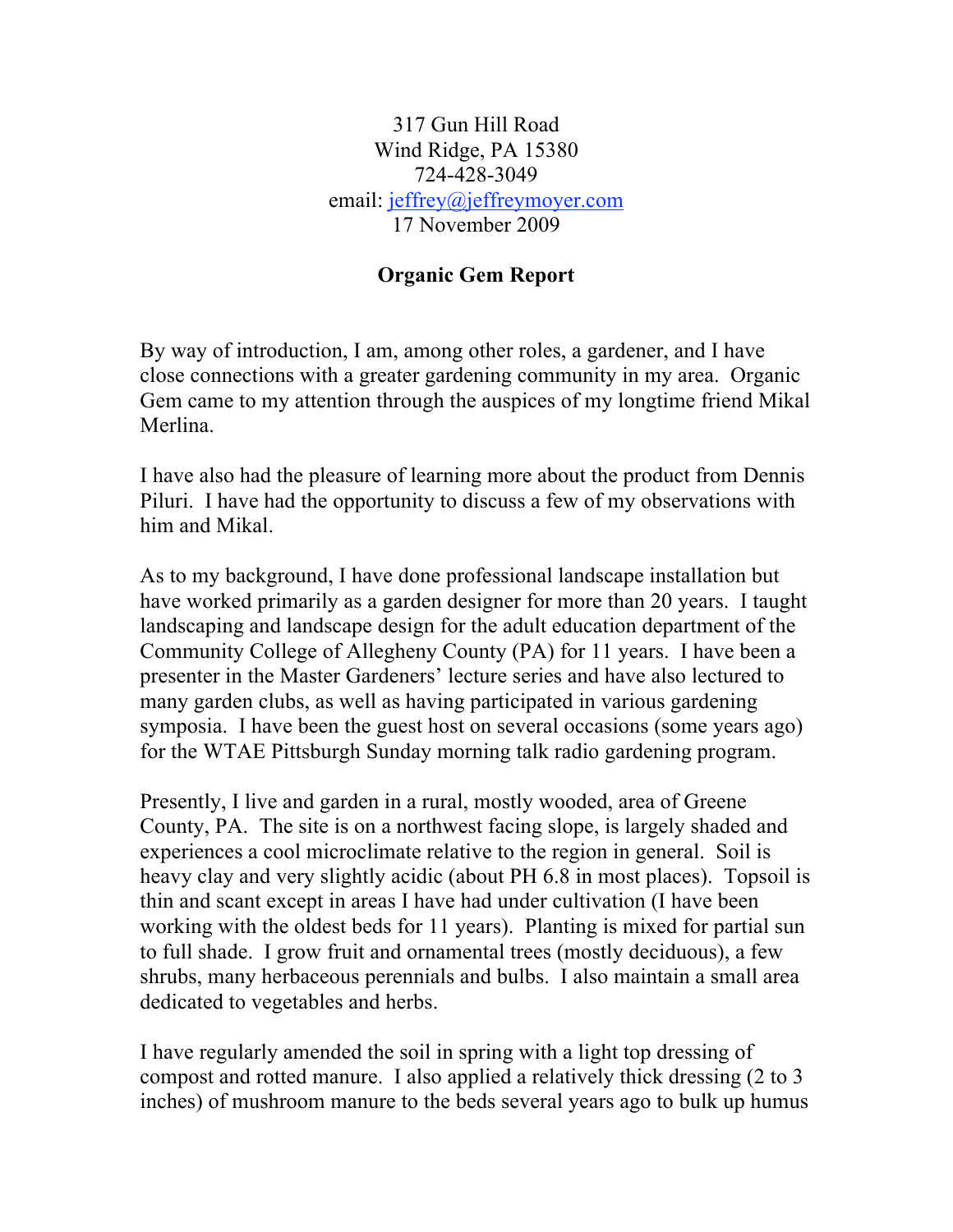## 317 Gun Hill Road Wind Ridge, PA 15380 724-428-3049 email: jeffrey@jeffreymoyer.com 17 November 2009

## **Organic Gem Report**

By way of introduction, I am, among other roles, a gardener, and I have close connections with a greater gardening community in my area. Organic Gem came to my attention through the auspices of my longtime friend Mikal Merlina.

I have also had the pleasure of learning more about the product from Dennis Piluri. I have had the opportunity to discuss a few of my observations with him and Mikal.

As to my background, I have done professional landscape installation but have worked primarily as a garden designer for more than 20 years. I taught landscaping and landscape design for the adult education department of the Community College of Allegheny County (PA) for 11 years. I have been a presenter in the Master Gardeners' lecture series and have also lectured to many garden clubs, as well as having participated in various gardening symposia. I have been the guest host on several occasions (some years ago) for the WTAE Pittsburgh Sunday morning talk radio gardening program.

Presently, I live and garden in a rural, mostly wooded, area of Greene County, PA. The site is on a northwest facing slope, is largely shaded and experiences a cool microclimate relative to the region in general. Soil is heavy clay and very slightly acidic (about PH 6.8 in most places). Topsoil is thin and scant except in areas I have had under cultivation (I have been working with the oldest beds for 11 years). Planting is mixed for partial sun to full shade. I grow fruit and ornamental trees (mostly deciduous), a few shrubs, many herbaceous perennials and bulbs. I also maintain a small area dedicated to vegetables and herbs.

I have regularly amended the soil in spring with a light top dressing of compost and rotted manure. I also applied a relatively thick dressing (2 to 3 inches) of mushroom manure to the beds several years ago to bulk up humus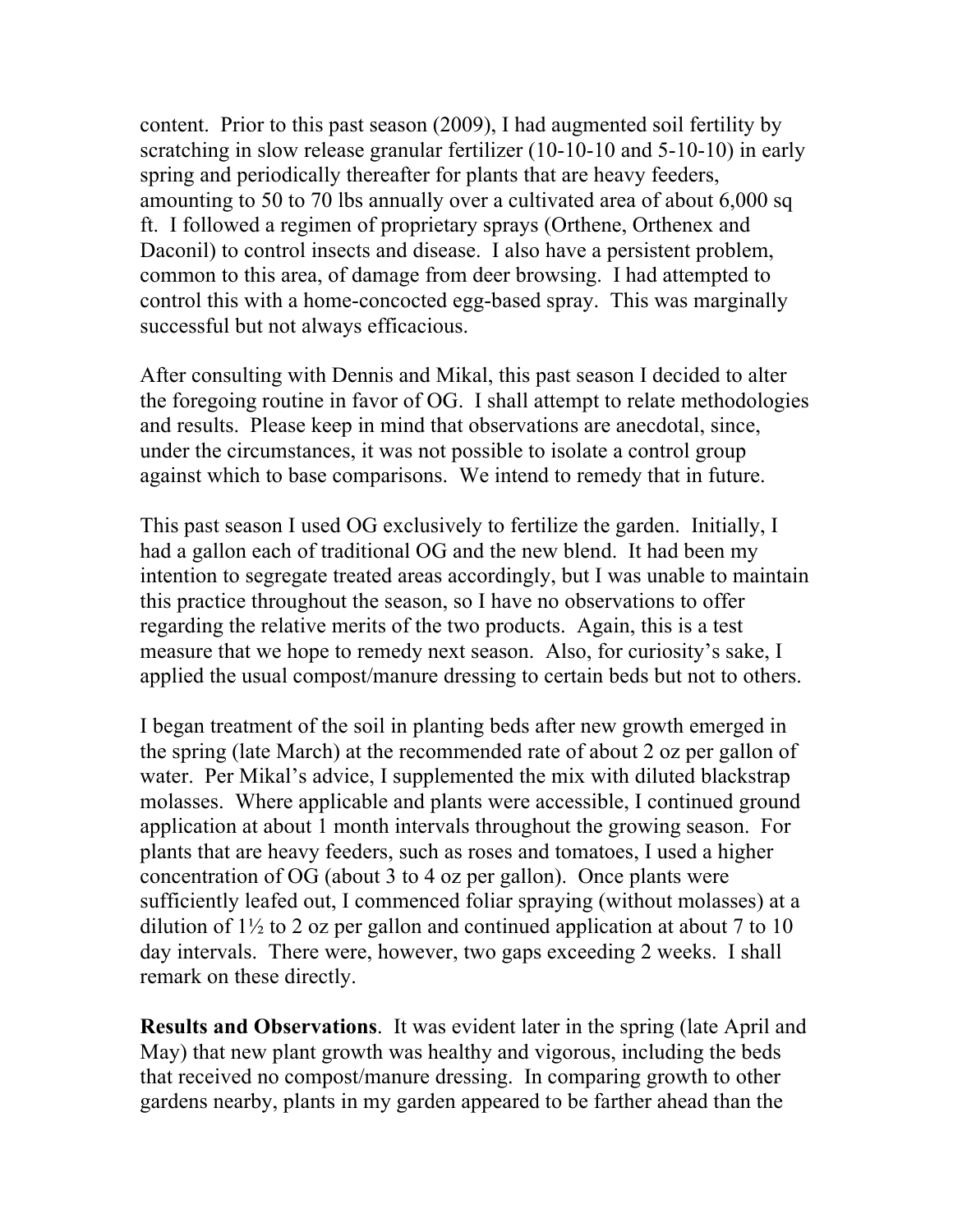content. Prior to this past season (2009), I had augmented soil fertility by scratching in slow release granular fertilizer (10-10-10 and 5-10-10) in early spring and periodically thereafter for plants that are heavy feeders, amounting to 50 to 70 lbs annually over a cultivated area of about 6,000 sq ft. I followed a regimen of proprietary sprays (Orthene, Orthenex and Daconil) to control insects and disease. I also have a persistent problem, common to this area, of damage from deer browsing. I had attempted to control this with a home-concocted egg-based spray. This was marginally successful but not always efficacious.

After consulting with Dennis and Mikal, this past season I decided to alter the foregoing routine in favor of OG. I shall attempt to relate methodologies and results. Please keep in mind that observations are anecdotal, since, under the circumstances, it was not possible to isolate a control group against which to base comparisons. We intend to remedy that in future.

This past season I used OG exclusively to fertilize the garden. Initially, I had a gallon each of traditional OG and the new blend. It had been my intention to segregate treated areas accordingly, but I was unable to maintain this practice throughout the season, so I have no observations to offer regarding the relative merits of the two products. Again, this is a test measure that we hope to remedy next season. Also, for curiosity's sake, I applied the usual compost/manure dressing to certain beds but not to others.

I began treatment of the soil in planting beds after new growth emerged in the spring (late March) at the recommended rate of about 2 oz per gallon of water. Per Mikal's advice, I supplemented the mix with diluted blackstrap molasses. Where applicable and plants were accessible, I continued ground application at about 1 month intervals throughout the growing season. For plants that are heavy feeders, such as roses and tomatoes, I used a higher concentration of OG (about 3 to 4 oz per gallon). Once plants were sufficiently leafed out, I commenced foliar spraying (without molasses) at a dilution of  $1\frac{1}{2}$  to 2 oz per gallon and continued application at about 7 to 10 day intervals. There were, however, two gaps exceeding 2 weeks. I shall remark on these directly.

**Results and Observations**. It was evident later in the spring (late April and May) that new plant growth was healthy and vigorous, including the beds that received no compost/manure dressing. In comparing growth to other gardens nearby, plants in my garden appeared to be farther ahead than the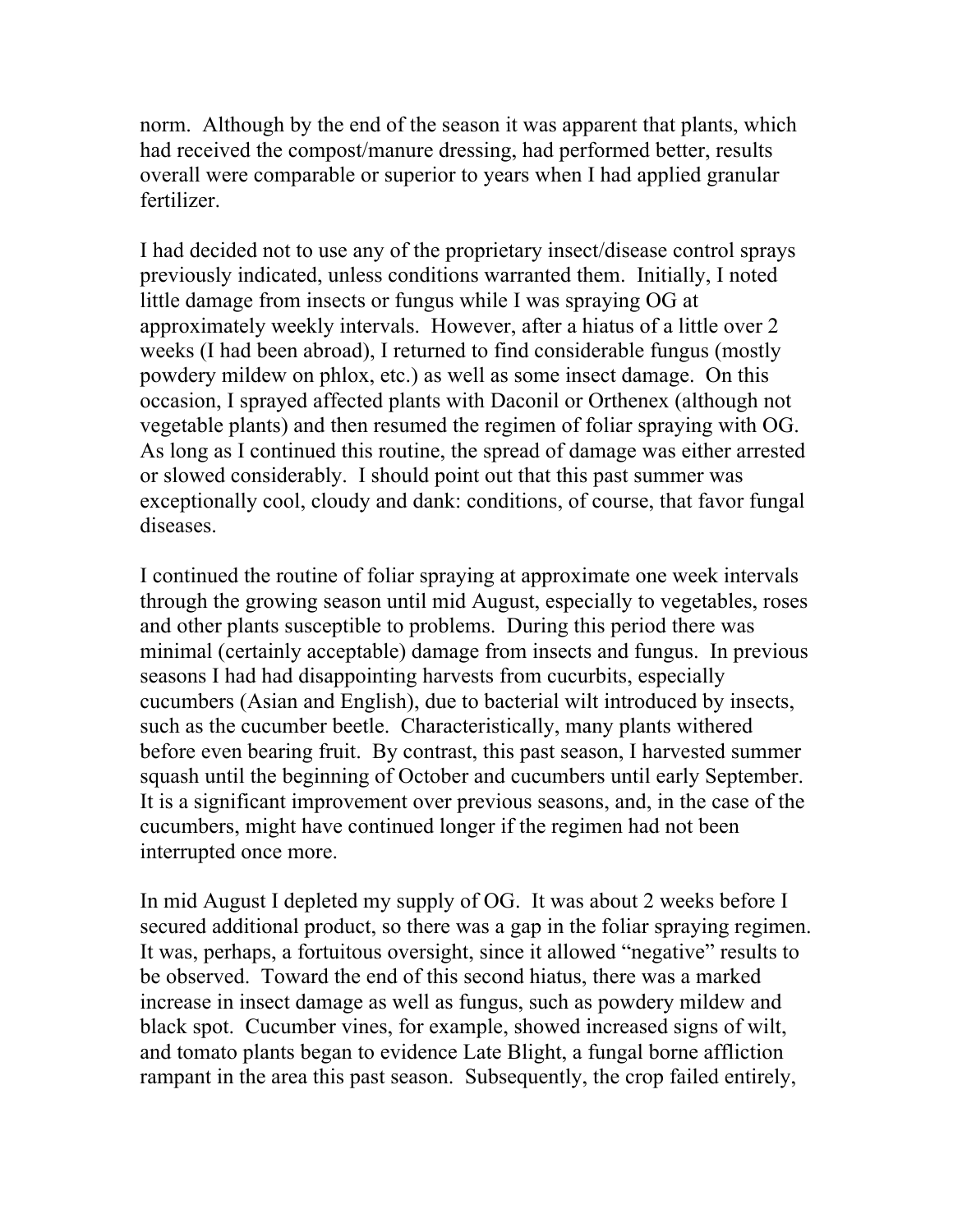norm. Although by the end of the season it was apparent that plants, which had received the compost/manure dressing, had performed better, results overall were comparable or superior to years when I had applied granular fertilizer.

I had decided not to use any of the proprietary insect/disease control sprays previously indicated, unless conditions warranted them. Initially, I noted little damage from insects or fungus while I was spraying OG at approximately weekly intervals. However, after a hiatus of a little over 2 weeks (I had been abroad), I returned to find considerable fungus (mostly powdery mildew on phlox, etc.) as well as some insect damage. On this occasion, I sprayed affected plants with Daconil or Orthenex (although not vegetable plants) and then resumed the regimen of foliar spraying with OG. As long as I continued this routine, the spread of damage was either arrested or slowed considerably. I should point out that this past summer was exceptionally cool, cloudy and dank: conditions, of course, that favor fungal diseases.

I continued the routine of foliar spraying at approximate one week intervals through the growing season until mid August, especially to vegetables, roses and other plants susceptible to problems. During this period there was minimal (certainly acceptable) damage from insects and fungus. In previous seasons I had had disappointing harvests from cucurbits, especially cucumbers (Asian and English), due to bacterial wilt introduced by insects, such as the cucumber beetle. Characteristically, many plants withered before even bearing fruit. By contrast, this past season, I harvested summer squash until the beginning of October and cucumbers until early September. It is a significant improvement over previous seasons, and, in the case of the cucumbers, might have continued longer if the regimen had not been interrupted once more.

In mid August I depleted my supply of OG. It was about 2 weeks before I secured additional product, so there was a gap in the foliar spraying regimen. It was, perhaps, a fortuitous oversight, since it allowed "negative" results to be observed. Toward the end of this second hiatus, there was a marked increase in insect damage as well as fungus, such as powdery mildew and black spot. Cucumber vines, for example, showed increased signs of wilt, and tomato plants began to evidence Late Blight, a fungal borne affliction rampant in the area this past season. Subsequently, the crop failed entirely,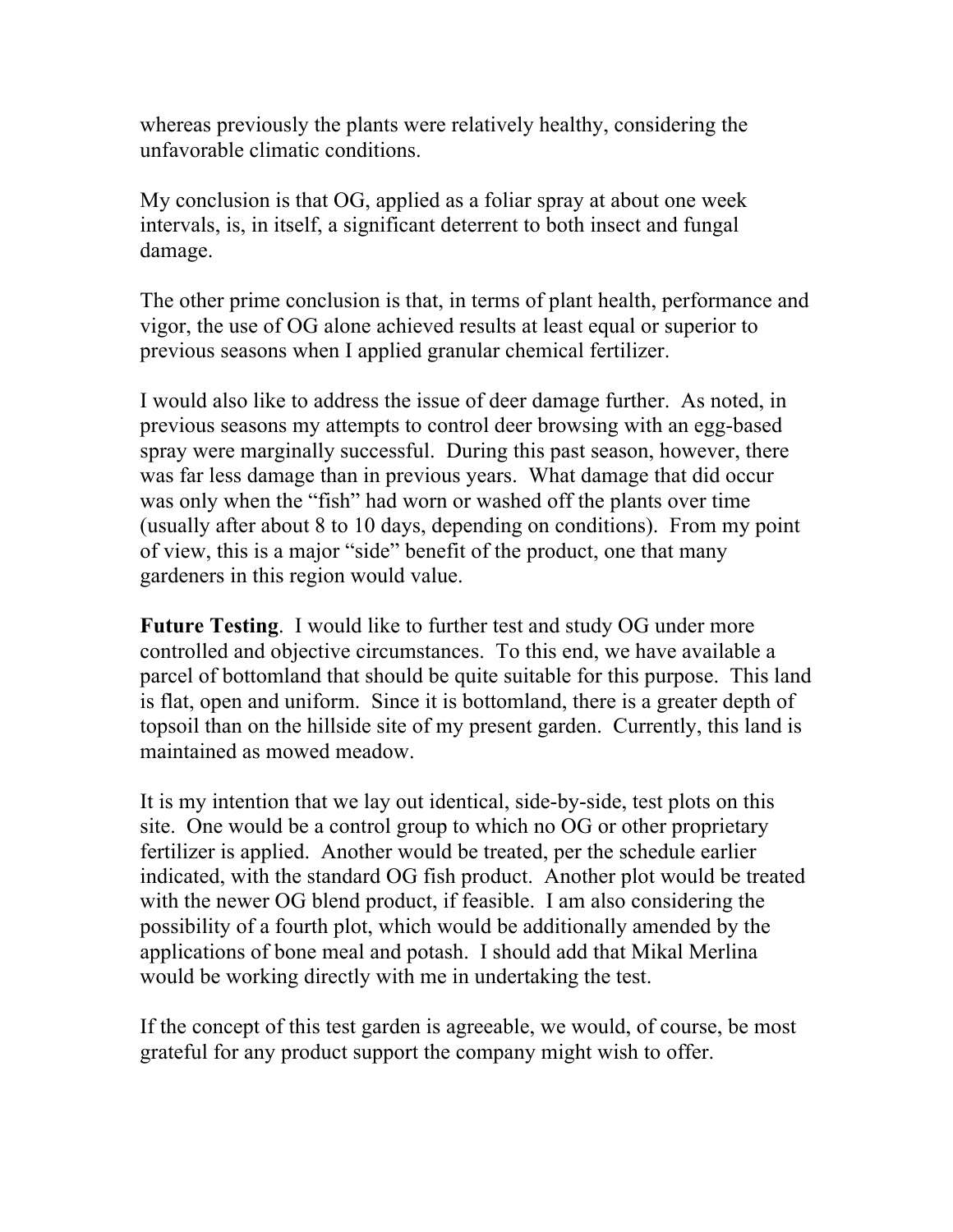whereas previously the plants were relatively healthy, considering the unfavorable climatic conditions.

My conclusion is that OG, applied as a foliar spray at about one week intervals, is, in itself, a significant deterrent to both insect and fungal damage.

The other prime conclusion is that, in terms of plant health, performance and vigor, the use of OG alone achieved results at least equal or superior to previous seasons when I applied granular chemical fertilizer.

I would also like to address the issue of deer damage further. As noted, in previous seasons my attempts to control deer browsing with an egg-based spray were marginally successful. During this past season, however, there was far less damage than in previous years. What damage that did occur was only when the "fish" had worn or washed off the plants over time (usually after about 8 to 10 days, depending on conditions). From my point of view, this is a major "side" benefit of the product, one that many gardeners in this region would value.

**Future Testing**. I would like to further test and study OG under more controlled and objective circumstances. To this end, we have available a parcel of bottomland that should be quite suitable for this purpose. This land is flat, open and uniform. Since it is bottomland, there is a greater depth of topsoil than on the hillside site of my present garden. Currently, this land is maintained as mowed meadow.

It is my intention that we lay out identical, side-by-side, test plots on this site. One would be a control group to which no OG or other proprietary fertilizer is applied. Another would be treated, per the schedule earlier indicated, with the standard OG fish product. Another plot would be treated with the newer OG blend product, if feasible. I am also considering the possibility of a fourth plot, which would be additionally amended by the applications of bone meal and potash. I should add that Mikal Merlina would be working directly with me in undertaking the test.

If the concept of this test garden is agreeable, we would, of course, be most grateful for any product support the company might wish to offer.